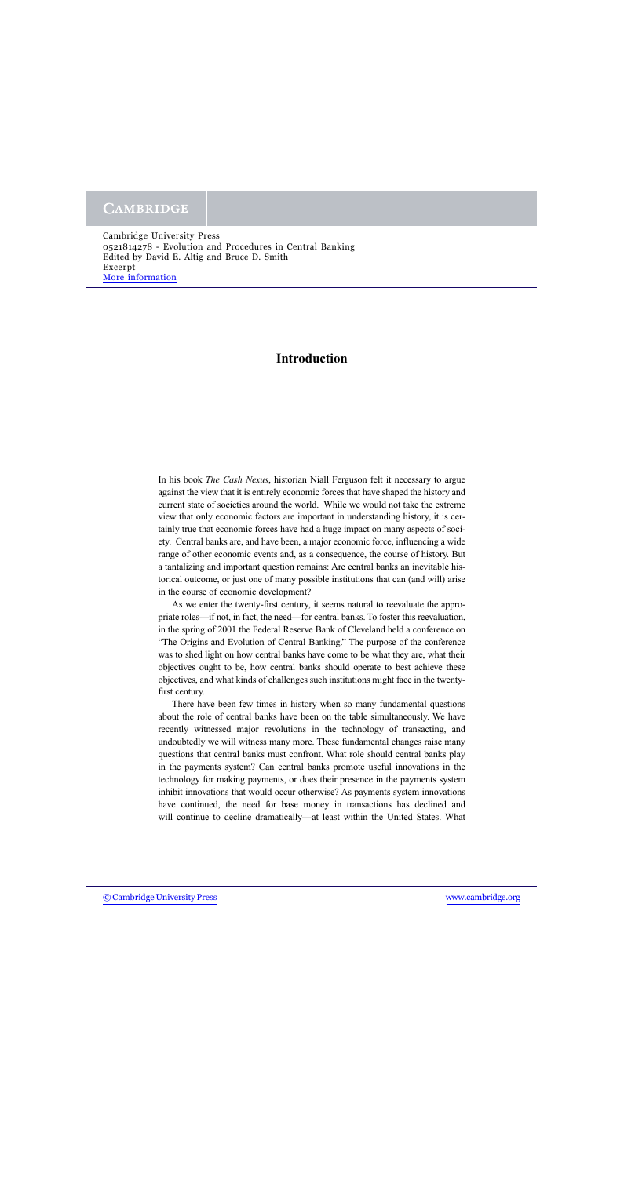Cambridge University Press 0521814278 - Evolution and Procedures in Central Banking Edited by David E. Altig and Bruce D. Smith Excerpt [More information](http://www.cambridge.org/0521814278)

# **Introduction**

In his book *The Cash Nexus*, historian Niall Ferguson felt it necessary to argue against the view that it is entirely economic forces that have shaped the history and current state of societies around the world. While we would not take the extreme view that only economic factors are important in understanding history, it is certainly true that economic forces have had a huge impact on many aspects of society. Central banks are, and have been, a major economic force, influencing a wide range of other economic events and, as a consequence, the course of history. But a tantalizing and important question remains: Are central banks an inevitable historical outcome, or just one of many possible institutions that can (and will) arise in the course of economic development?

As we enter the twenty-first century, it seems natural to reevaluate the appropriate roles—if not, in fact, the need—for central banks. To foster this reevaluation, in the spring of 2001 the Federal Reserve Bank of Cleveland held a conference on "The Origins and Evolution of Central Banking." The purpose of the conference was to shed light on how central banks have come to be what they are, what their objectives ought to be, how central banks should operate to best achieve these objectives, and what kinds of challenges such institutions might face in the twentyfirst century.

There have been few times in history when so many fundamental questions about the role of central banks have been on the table simultaneously. We have recently witnessed major revolutions in the technology of transacting, and undoubtedly we will witness many more. These fundamental changes raise many questions that central banks must confront. What role should central banks play in the payments system? Can central banks promote useful innovations in the technology for making payments, or does their presence in the payments system inhibit innovations that would occur otherwise? As payments system innovations have continued, the need for base money in transactions has declined and will continue to decline dramatically—at least within the United States. What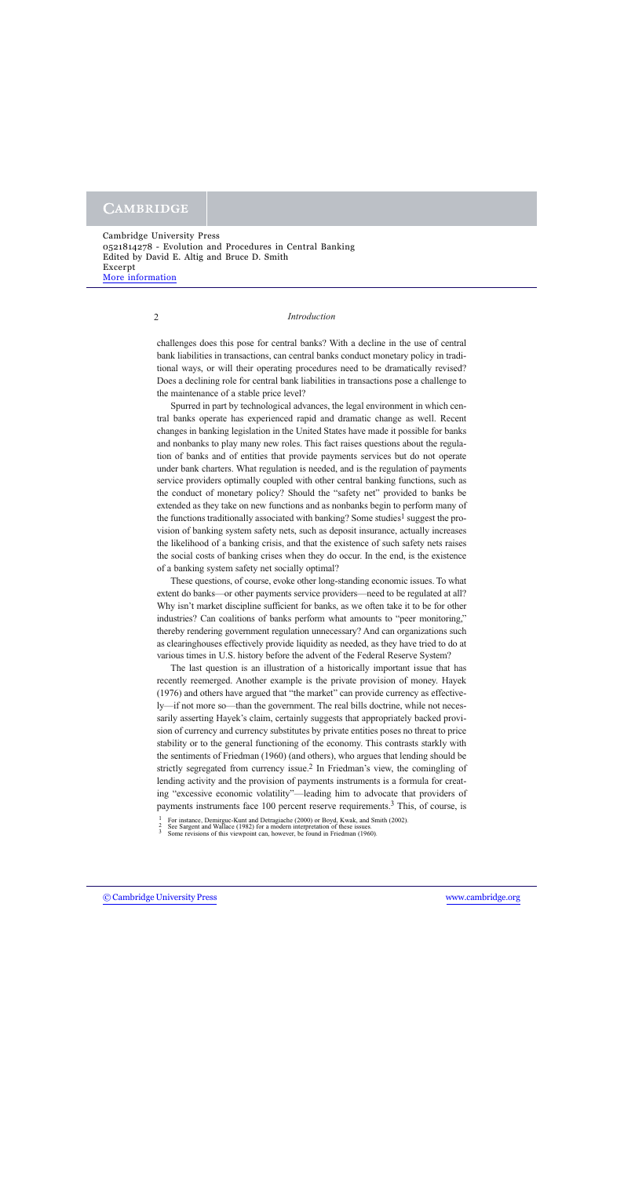Cambridge University Press 0521814278 - Evolution and Procedures in Central Banking Edited by David E. Altig and Bruce D. Smith Excerpt [More information](http://www.cambridge.org/0521814278)

#### *Introduction*

challenges does this pose for central banks? With a decline in the use of central bank liabilities in transactions, can central banks conduct monetary policy in traditional ways, or will their operating procedures need to be dramatically revised? Does a declining role for central bank liabilities in transactions pose a challenge to the maintenance of a stable price level?

Spurred in part by technological advances, the legal environment in which central banks operate has experienced rapid and dramatic change as well. Recent changes in banking legislation in the United States have made it possible for banks and nonbanks to play many new roles. This fact raises questions about the regulation of banks and of entities that provide payments services but do not operate under bank charters. What regulation is needed, and is the regulation of payments service providers optimally coupled with other central banking functions, such as the conduct of monetary policy? Should the "safety net" provided to banks be extended as they take on new functions and as nonbanks begin to perform many of the functions traditionally associated with banking? Some studies<sup>1</sup> suggest the provision of banking system safety nets, such as deposit insurance, actually increases the likelihood of a banking crisis, and that the existence of such safety nets raises the social costs of banking crises when they do occur. In the end, is the existence of a banking system safety net socially optimal?

These questions, of course, evoke other long-standing economic issues. To what extent do banks—or other payments service providers—need to be regulated at all? Why isn't market discipline sufficient for banks, as we often take it to be for other industries? Can coalitions of banks perform what amounts to "peer monitoring," thereby rendering government regulation unnecessary? And can organizations such as clearinghouses effectively provide liquidity as needed, as they have tried to do at various times in U.S. history before the advent of the Federal Reserve System?

The last question is an illustration of a historically important issue that has recently reemerged. Another example is the private provision of money. Hayek (1976) and others have argued that "the market" can provide currency as effectively—if not more so—than the government. The real bills doctrine, while not necessarily asserting Hayek's claim, certainly suggests that appropriately backed provision of currency and currency substitutes by private entities poses no threat to price stability or to the general functioning of the economy. This contrasts starkly with the sentiments of Friedman (1960) (and others), who argues that lending should be strictly segregated from currency issue.<sup>2</sup> In Friedman's view, the comingling of lending activity and the provision of payments instruments is a formula for creating "excessive economic volatility"—leading him to advocate that providers of payments instruments face 100 percent reserve requirements.3 This, of course, is

<sup>&</sup>lt;sup>1</sup> For instance, Demirguc-Kunt and Detragiache (2000) or Boyd, Kwak, and Smith (2002).<br><sup>2</sup> See Sargent and Wallace (1982) for a modern interpretation of these issues.<br><sup>3</sup> Some revisions of this viewpoint can, however, be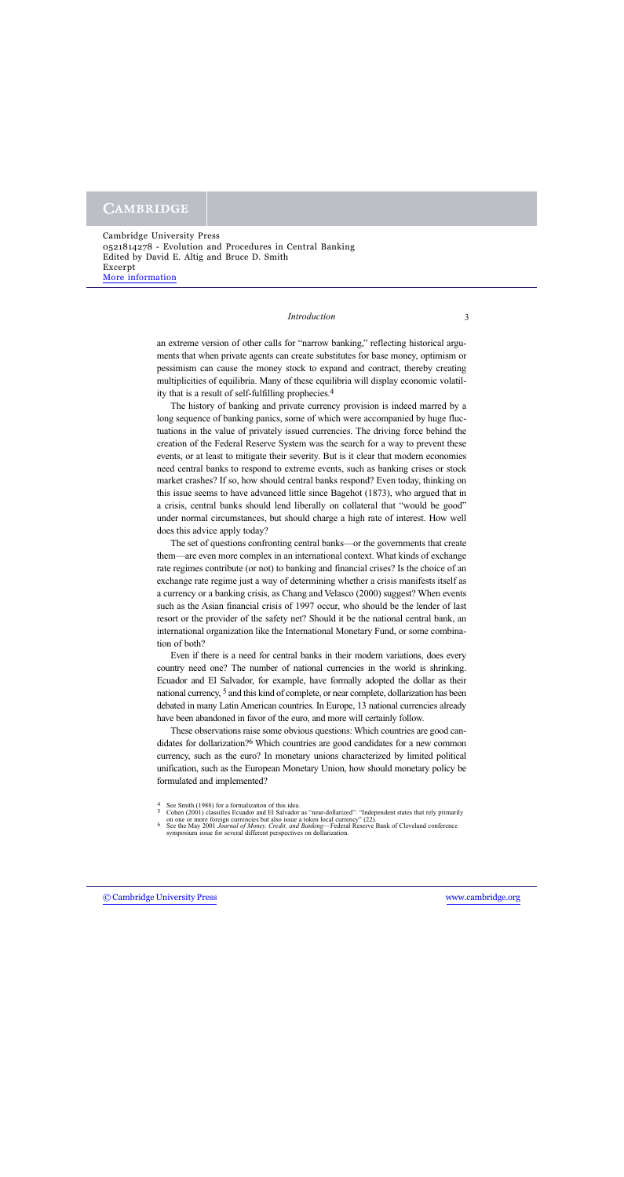an extreme version of other calls for "narrow banking," reflecting historical arguments that when private agents can create substitutes for base money, optimism or pessimism can cause the money stock to expand and contract, thereby creating multiplicities of equilibria. Many of these equilibria will display economic volatility that is a result of self-fulfilling prophecies.4

The history of banking and private currency provision is indeed marred by a long sequence of banking panics, some of which were accompanied by huge fluctuations in the value of privately issued currencies. The driving force behind the creation of the Federal Reserve System was the search for a way to prevent these events, or at least to mitigate their severity. But is it clear that modern economies need central banks to respond to extreme events, such as banking crises or stock market crashes? If so, how should central banks respond? Even today, thinking on this issue seems to have advanced little since Bagehot (1873), who argued that in a crisis, central banks should lend liberally on collateral that "would be good" under normal circumstances, but should charge a high rate of interest. How well does this advice apply today?

The set of questions confronting central banks—or the governments that create them—are even more complex in an international context. What kinds of exchange rate regimes contribute (or not) to banking and financial crises? Is the choice of an exchange rate regime just a way of determining whether a crisis manifests itself as a currency or a banking crisis, as Chang and Velasco (2000) suggest? When events such as the Asian financial crisis of 1997 occur, who should be the lender of last resort or the provider of the safety net? Should it be the national central bank, an international organization like the International Monetary Fund, or some combination of both?

Even if there is a need for central banks in their modern variations, does every country need one? The number of national currencies in the world is shrinking. Ecuador and El Salvador, for example, have formally adopted the dollar as their national currency, <sup>5</sup> and this kind of complete, or near complete, dollarization has been debated in many Latin American countries. In Europe, 13 national currencies already have been abandoned in favor of the euro, and more will certainly follow.

These observations raise some obvious questions: Which countries are good candidates for dollarization?<sup>6</sup> Which countries are good candidates for a new common currency, such as the euro? In monetary unions characterized by limited political unification, such as the European Monetary Union, how should monetary policy be formulated and implemented?

3

<sup>4</sup> See Smith (1988) for a formalization of this idea.<br>
<sup>5</sup> Cohen (2001) classifies Ecuador and El Salvador as "near-dollarized": "Independent states that rely primarily<br>
on one or more foreign currencies but also issue a to

on one or more foreign currencies but also issue a token local currency" (22).<br>
<sup>6</sup> See the May 2001 Journal of Money, Credit, and Banking—Federal Reserve Bank of Cleveland conference<br>
<sup>6</sup> See the May 2001 Journal of the s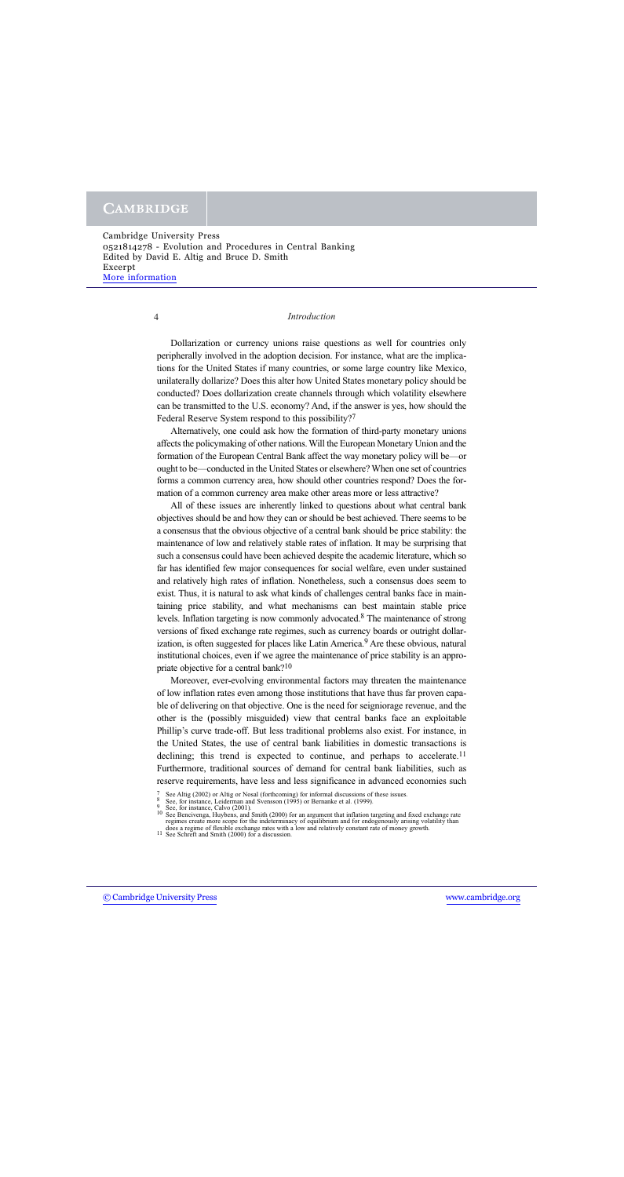Cambridge University Press 0521814278 - Evolution and Procedures in Central Banking Edited by David E. Altig and Bruce D. Smith Excerpt [More information](http://www.cambridge.org/0521814278)

#### 4 *Introduction*

Dollarization or currency unions raise questions as well for countries only peripherally involved in the adoption decision. For instance, what are the implications for the United States if many countries, or some large country like Mexico, unilaterally dollarize? Does this alter how United States monetary policy should be conducted? Does dollarization create channels through which volatility elsewhere can be transmitted to the U.S. economy? And, if the answer is yes, how should the Federal Reserve System respond to this possibility?7

Alternatively, one could ask how the formation of third-party monetary unions affects the policymaking of other nations. Will the European Monetary Union and the formation of the European Central Bank affect the way monetary policy will be—or ought to be—conducted in the United States or elsewhere? When one set of countries forms a common currency area, how should other countries respond? Does the formation of a common currency area make other areas more or less attractive?

All of these issues are inherently linked to questions about what central bank objectives should be and how they can or should be best achieved. There seems to be a consensus that the obvious objective of a central bank should be price stability: the maintenance of low and relatively stable rates of inflation. It may be surprising that such a consensus could have been achieved despite the academic literature, which so far has identified few major consequences for social welfare, even under sustained and relatively high rates of inflation. Nonetheless, such a consensus does seem to exist. Thus, it is natural to ask what kinds of challenges central banks face in maintaining price stability, and what mechanisms can best maintain stable price levels. Inflation targeting is now commonly advocated.<sup>8</sup> The maintenance of strong versions of fixed exchange rate regimes, such as currency boards or outright dollarization, is often suggested for places like Latin America.<sup>9</sup> Are these obvious, natural institutional choices, even if we agree the maintenance of price stability is an appropriate objective for a central bank?<sup>10</sup>

Moreover, ever-evolving environmental factors may threaten the maintenance of low inflation rates even among those institutions that have thus far proven capable of delivering on that objective. One is the need for seigniorage revenue, and the other is the (possibly misguided) view that central banks face an exploitable Phillip's curve trade-off. But less traditional problems also exist. For instance, in the United States, the use of central bank liabilities in domestic transactions is declining; this trend is expected to continue, and perhaps to accelerate.<sup>11</sup> Furthermore, traditional sources of demand for central bank liabilities, such as reserve requirements, have less and less significance in advanced economies such

To see Altig (2002) or Altig or Nosal (forthcoming) for informal discussions of these issues.<br>  $8 \text{ See, for instance, Leiderman and Svensson (1995) or Bernanke et al. (1999).$   $9 \text{ See, for instance, Calvo (2001).}$   $10 \text{ See Bencivenga, Huybens, and Smith (2000) for an argument that inflation targeting and fixed exchange rate}$ regimes create more scope for the indeterminacy of equilibrium and for endogenously arising volatility than does a regime of flexible exchange rates with a low and relatively constant rate of money growth.<br><sup>11</sup> See Schreft and Smith (2000) for a discussion.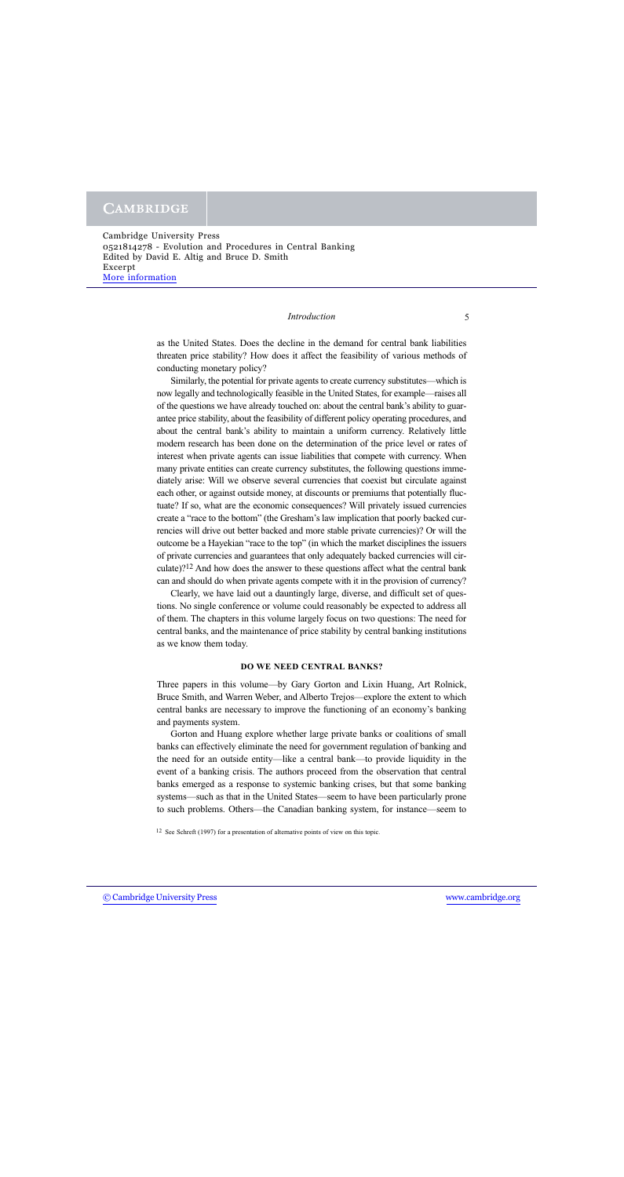as the United States. Does the decline in the demand for central bank liabilities threaten price stability? How does it affect the feasibility of various methods of conducting monetary policy?

Similarly, the potential for private agents to create currency substitutes—which is now legally and technologically feasible in the United States, for example—raises all of the questions we have already touched on: about the central bank's ability to guarantee price stability, about the feasibility of different policy operating procedures, and about the central bank's ability to maintain a uniform currency. Relatively little modern research has been done on the determination of the price level or rates of interest when private agents can issue liabilities that compete with currency. When many private entities can create currency substitutes, the following questions immediately arise: Will we observe several currencies that coexist but circulate against each other, or against outside money, at discounts or premiums that potentially fluctuate? If so, what are the economic consequences? Will privately issued currencies create a "race to the bottom" (the Gresham's law implication that poorly backed currencies will drive out better backed and more stable private currencies)? Or will the outcome be a Hayekian "race to the top" (in which the market disciplines the issuers of private currencies and guarantees that only adequately backed currencies will circulate)?12 And how does the answer to these questions affect what the central bank can and should do when private agents compete with it in the provision of currency?

Clearly, we have laid out a dauntingly large, diverse, and difficult set of questions. No single conference or volume could reasonably be expected to address all of them. The chapters in this volume largely focus on two questions: The need for central banks, and the maintenance of price stability by central banking institutions as we know them today.

## **DO WE NEED CENTRAL BANKS?**

Three papers in this volume—by Gary Gorton and Lixin Huang, Art Rolnick, Bruce Smith, and Warren Weber, and Alberto Trejos—explore the extent to which central banks are necessary to improve the functioning of an economy's banking and payments system.

Gorton and Huang explore whether large private banks or coalitions of small banks can effectively eliminate the need for government regulation of banking and the need for an outside entity—like a central bank—to provide liquidity in the event of a banking crisis. The authors proceed from the observation that central banks emerged as a response to systemic banking crises, but that some banking systems—such as that in the United States—seem to have been particularly prone to such problems. Others—the Canadian banking system, for instance—seem to

12 See Schreft (1997) for a presentation of alternative points of view on this topic.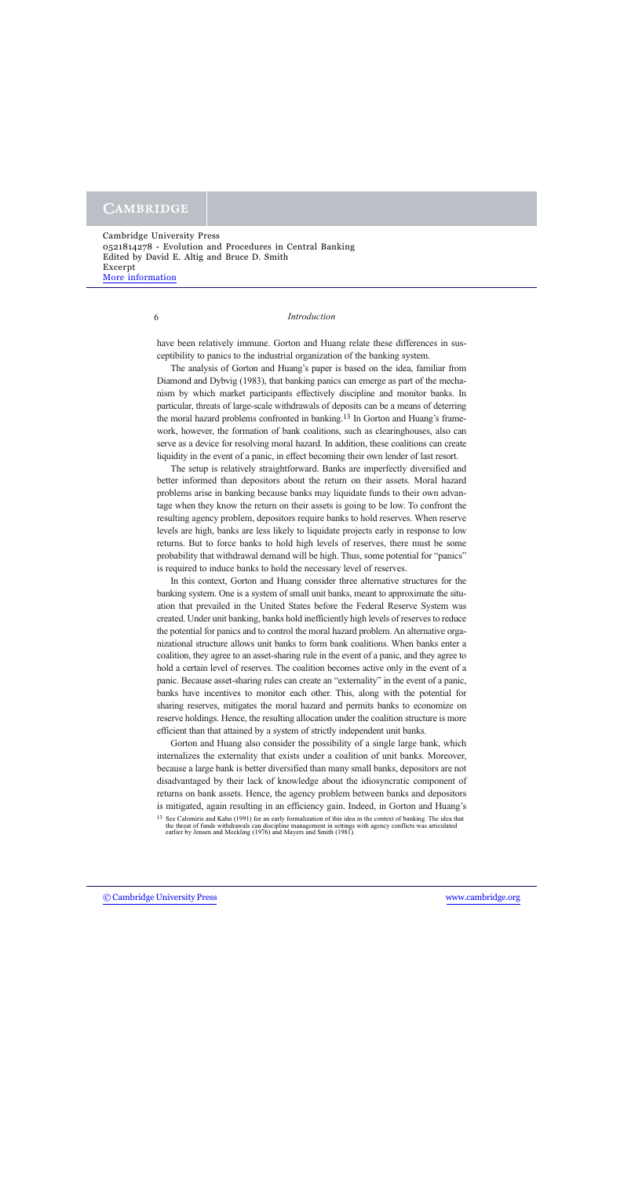#### *Introduction*

have been relatively immune. Gorton and Huang relate these differences in susceptibility to panics to the industrial organization of the banking system.

The analysis of Gorton and Huang's paper is based on the idea, familiar from Diamond and Dybvig (1983), that banking panics can emerge as part of the mechanism by which market participants effectively discipline and monitor banks. In particular, threats of large-scale withdrawals of deposits can be a means of deterring the moral hazard problems confronted in banking.<sup>13</sup> In Gorton and Huang's framework, however, the formation of bank coalitions, such as clearinghouses, also can serve as a device for resolving moral hazard. In addition, these coalitions can create liquidity in the event of a panic, in effect becoming their own lender of last resort.

The setup is relatively straightforward. Banks are imperfectly diversified and better informed than depositors about the return on their assets. Moral hazard problems arise in banking because banks may liquidate funds to their own advantage when they know the return on their assets is going to be low. To confront the resulting agency problem, depositors require banks to hold reserves. When reserve levels are high, banks are less likely to liquidate projects early in response to low returns. But to force banks to hold high levels of reserves, there must be some probability that withdrawal demand will be high. Thus, some potential for "panics" is required to induce banks to hold the necessary level of reserves.

In this context, Gorton and Huang consider three alternative structures for the banking system. One is a system of small unit banks, meant to approximate the situation that prevailed in the United States before the Federal Reserve System was created. Under unit banking, banks hold inefficiently high levels of reserves to reduce the potential for panics and to control the moral hazard problem. An alternative organizational structure allows unit banks to form bank coalitions. When banks enter a coalition, they agree to an asset-sharing rule in the event of a panic, and they agree to hold a certain level of reserves. The coalition becomes active only in the event of a panic. Because asset-sharing rules can create an "externality" in the event of a panic, banks have incentives to monitor each other. This, along with the potential for sharing reserves, mitigates the moral hazard and permits banks to economize on reserve holdings. Hence, the resulting allocation under the coalition structure is more efficient than that attained by a system of strictly independent unit banks.

Gorton and Huang also consider the possibility of a single large bank, which internalizes the externality that exists under a coalition of unit banks. Moreover, because a large bank is better diversified than many small banks, depositors are not disadvantaged by their lack of knowledge about the idiosyncratic component of returns on bank assets. Hence, the agency problem between banks and depositors is mitigated, again resulting in an efficiency gain. Indeed, in Gorton and Huang's

<sup>&</sup>lt;sup>13</sup> See Calomiris and Kahn (1991) for an early formalization of this idea in the context of banking. The idea that the threat of funds withdrawals can discipline management in settings with agency conflicts was articulated earlier by Jensen and Meckling (1976) and Mayers and Smith (1981).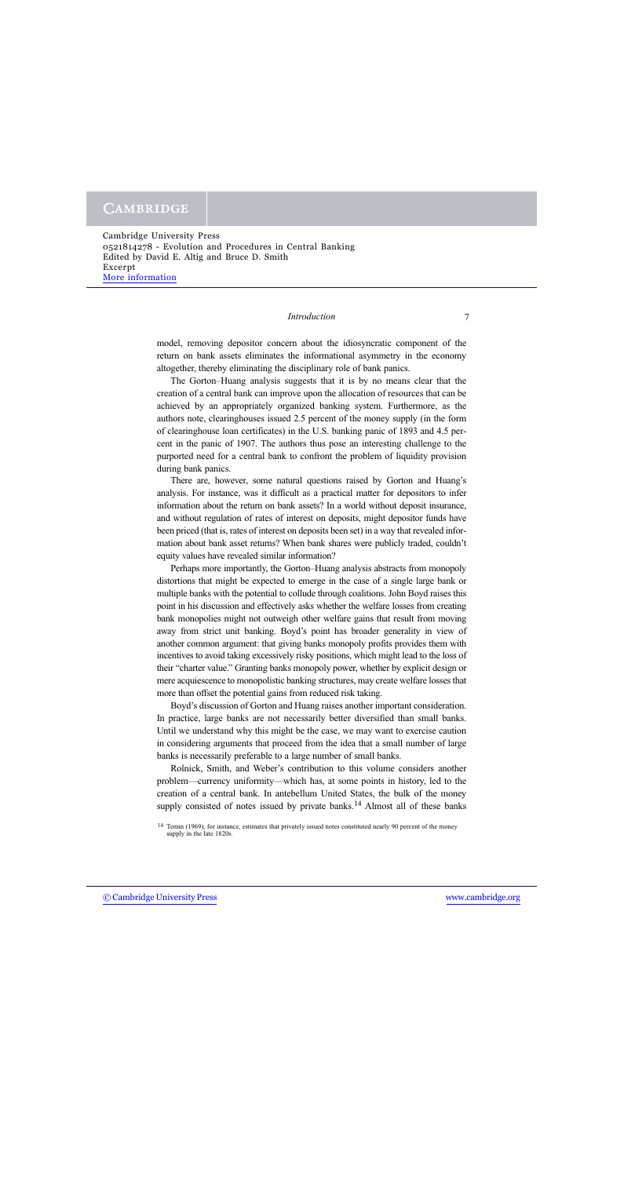model, removing depositor concern about the idiosyncratic component of the return on bank assets eliminates the informational asymmetry in the economy altogether, thereby eliminating the disciplinary role of bank panics.

The Gorton–Huang analysis suggests that it is by no means clear that the creation of a central bank can improve upon the allocation of resources that can be achieved by an appropriately organized banking system. Furthermore, as the authors note, clearinghouses issued 2.5 percent of the money supply (in the form of clearinghouse loan certificates) in the U.S. banking panic of 1893 and 4.5 percent in the panic of 1907. The authors thus pose an interesting challenge to the purported need for a central bank to confront the problem of liquidity provision during bank panics.

There are, however, some natural questions raised by Gorton and Huang's analysis. For instance, was it difficult as a practical matter for depositors to infer information about the return on bank assets? In a world without deposit insurance, and without regulation of rates of interest on deposits, might depositor funds have been priced (that is, rates of interest on deposits been set) in a way that revealed information about bank asset returns? When bank shares were publicly traded, couldn't equity values have revealed similar information?

Perhaps more importantly, the Gorton–Huang analysis abstracts from monopoly distortions that might be expected to emerge in the case of a single large bank or multiple banks with the potential to collude through coalitions. John Boyd raises this point in his discussion and effectively asks whether the welfare losses from creating bank monopolies might not outweigh other welfare gains that result from moving away from strict unit banking. Boyd's point has broader generality in view of another common argument: that giving banks monopoly profits provides them with incentives to avoid taking excessively risky positions, which might lead to the loss of their "charter value." Granting banks monopoly power, whether by explicit design or mere acquiescence to monopolistic banking structures, may create welfare losses that more than offset the potential gains from reduced risk taking.

Boyd's discussion of Gorton and Huang raises another important consideration. In practice, large banks are not necessarily better diversified than small banks. Until we understand why this might be the case, we may want to exercise caution in considering arguments that proceed from the idea that a small number of large banks is necessarily preferable to a large number of small banks.

Rolnick, Smith, and Weber's contribution to this volume considers another problem—currency uniformity—which has, at some points in history, led to the creation of a central bank. In antebellum United States, the bulk of the money supply consisted of notes issued by private banks.<sup>14</sup> Almost all of these banks

<sup>&</sup>lt;sup>14</sup> Temin (1969), for instance, estimates that privately issued notes constituted nearly 90 percent of the money supply in the late 1820s.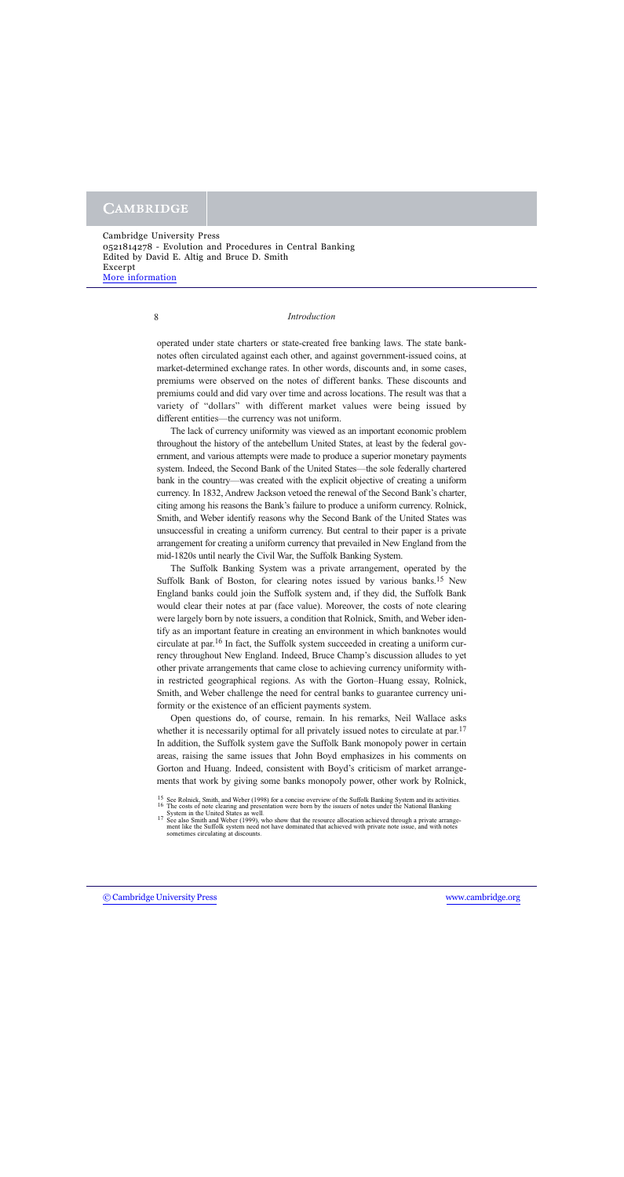Cambridge University Press 0521814278 - Evolution and Procedures in Central Banking Edited by David E. Altig and Bruce D. Smith Excerpt [More information](http://www.cambridge.org/0521814278)

# *Introduction*

operated under state charters or state-created free banking laws. The state banknotes often circulated against each other, and against government-issued coins, at market-determined exchange rates. In other words, discounts and, in some cases, premiums were observed on the notes of different banks. These discounts and premiums could and did vary over time and across locations. The result was that a variety of "dollars" with different market values were being issued by different entities—the currency was not uniform.

The lack of currency uniformity was viewed as an important economic problem throughout the history of the antebellum United States, at least by the federal government, and various attempts were made to produce a superior monetary payments system. Indeed, the Second Bank of the United States—the sole federally chartered bank in the country—was created with the explicit objective of creating a uniform currency. In 1832, Andrew Jackson vetoed the renewal of the Second Bank's charter, citing among his reasons the Bank's failure to produce a uniform currency. Rolnick, Smith, and Weber identify reasons why the Second Bank of the United States was unsuccessful in creating a uniform currency. But central to their paper is a private arrangement for creating a uniform currency that prevailed in New England from the mid-1820s until nearly the Civil War, the Suffolk Banking System.

The Suffolk Banking System was a private arrangement, operated by the Suffolk Bank of Boston, for clearing notes issued by various banks.15 New England banks could join the Suffolk system and, if they did, the Suffolk Bank would clear their notes at par (face value). Moreover, the costs of note clearing were largely born by note issuers, a condition that Rolnick, Smith, and Weber identify as an important feature in creating an environment in which banknotes would circulate at par.16 In fact, the Suffolk system succeeded in creating a uniform currency throughout New England. Indeed, Bruce Champ's discussion alludes to yet other private arrangements that came close to achieving currency uniformity within restricted geographical regions. As with the Gorton–Huang essay, Rolnick, Smith, and Weber challenge the need for central banks to guarantee currency uniformity or the existence of an efficient payments system.

Open questions do, of course, remain. In his remarks, Neil Wallace asks whether it is necessarily optimal for all privately issued notes to circulate at par.<sup>17</sup> In addition, the Suffolk system gave the Suffolk Bank monopoly power in certain areas, raising the same issues that John Boyd emphasizes in his comments on Gorton and Huang. Indeed, consistent with Boyd's criticism of market arrangements that work by giving some banks monopoly power, other work by Rolnick,

<sup>&</sup>lt;sup>15</sup> See Rolnick, Smith, and Weber (1998) for a concise overview of the Suffolk Banking System and its activities. <sup>16</sup> The costs of note clearing and presentation were born by the issuers of notes under the National Banki

System in the United States as well.<br>
<sup>17</sup> See also Smith and Weber (1999), who show that the resource allocation achieved through a private arrangement like the Suffolk system need not have dominated that achieved with private note issue, and with notes sometimes circulating at discounts.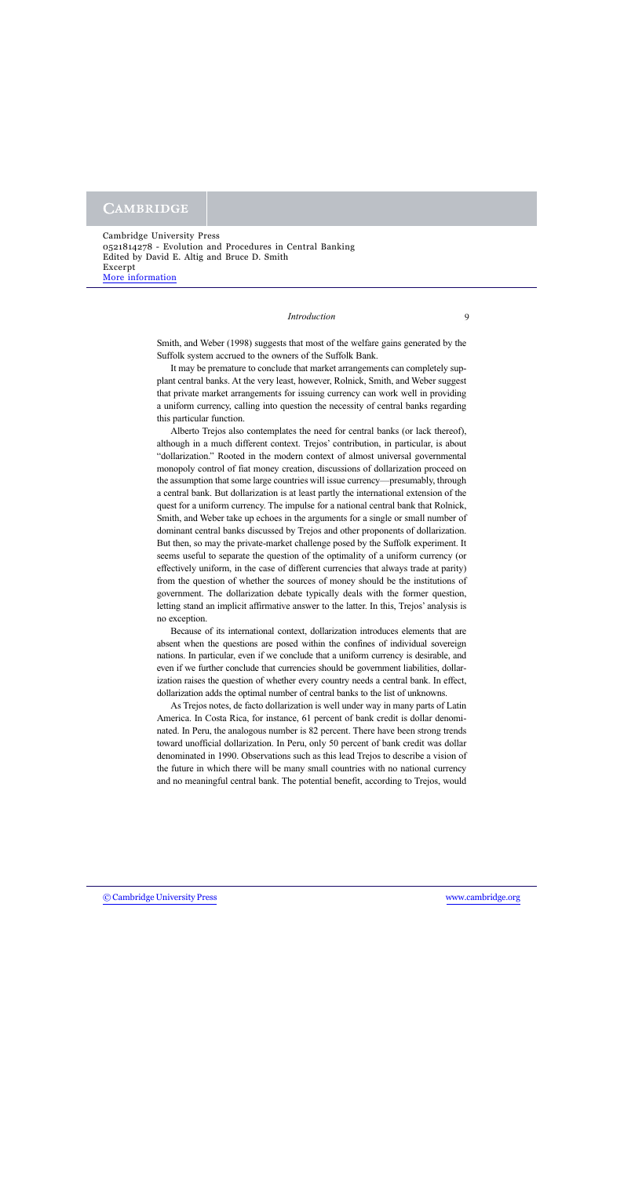Smith, and Weber (1998) suggests that most of the welfare gains generated by the Suffolk system accrued to the owners of the Suffolk Bank.

It may be premature to conclude that market arrangements can completely supplant central banks. At the very least, however, Rolnick, Smith, and Weber suggest that private market arrangements for issuing currency can work well in providing a uniform currency, calling into question the necessity of central banks regarding this particular function.

Alberto Trejos also contemplates the need for central banks (or lack thereof), although in a much different context. Trejos' contribution, in particular, is about "dollarization." Rooted in the modern context of almost universal governmental monopoly control of fiat money creation, discussions of dollarization proceed on the assumption that some large countries will issue currency—presumably, through a central bank. But dollarization is at least partly the international extension of the quest for a uniform currency. The impulse for a national central bank that Rolnick, Smith, and Weber take up echoes in the arguments for a single or small number of dominant central banks discussed by Trejos and other proponents of dollarization. But then, so may the private-market challenge posed by the Suffolk experiment. It seems useful to separate the question of the optimality of a uniform currency (or effectively uniform, in the case of different currencies that always trade at parity) from the question of whether the sources of money should be the institutions of government. The dollarization debate typically deals with the former question, letting stand an implicit affirmative answer to the latter. In this, Trejos' analysis is no exception.

Because of its international context, dollarization introduces elements that are absent when the questions are posed within the confines of individual sovereign nations. In particular, even if we conclude that a uniform currency is desirable, and even if we further conclude that currencies should be government liabilities, dollarization raises the question of whether every country needs a central bank. In effect, dollarization adds the optimal number of central banks to the list of unknowns.

As Trejos notes, de facto dollarization is well under way in many parts of Latin America. In Costa Rica, for instance, 61 percent of bank credit is dollar denominated. In Peru, the analogous number is 82 percent. There have been strong trends toward unofficial dollarization. In Peru, only 50 percent of bank credit was dollar denominated in 1990. Observations such as this lead Trejos to describe a vision of the future in which there will be many small countries with no national currency and no meaningful central bank. The potential benefit, according to Trejos, would